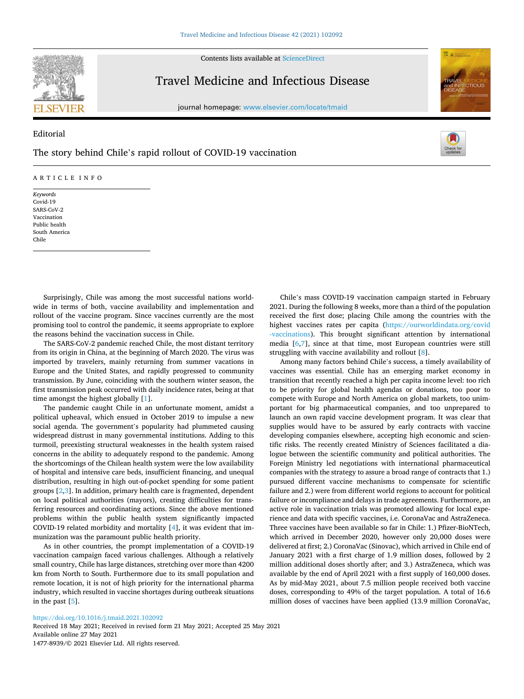Contents lists available at [ScienceDirect](www.sciencedirect.com/science/journal/14778939)



Editorial

## Travel Medicine and Infectious Disease

journal homepage: [www.elsevier.com/locate/tmaid](https://www.elsevier.com/locate/tmaid)



# The story behind Chile's rapid rollout of COVID-19 vaccination

#### ARTICLE INFO

*Keywords*  Covid-19 SARS-CoV-2 Vaccination Public health South America Chile

Surprisingly, Chile was among the most successful nations worldwide in terms of both, vaccine availability and implementation and rollout of the vaccine program. Since vaccines currently are the most promising tool to control the pandemic, it seems appropriate to explore the reasons behind the vaccination success in Chile.

The SARS-CoV-2 pandemic reached Chile, the most distant territory from its origin in China, at the beginning of March 2020. The virus was imported by travelers, mainly returning from summer vacations in Europe and the United States, and rapidly progressed to community transmission. By June, coinciding with the southern winter season, the first transmission peak occurred with daily incidence rates, being at that time amongst the highest globally [[1](#page-1-0)].

The pandemic caught Chile in an unfortunate moment, amidst a political upheaval, which ensued in October 2019 to impulse a new social agenda. The government's popularity had plummeted causing widespread distrust in many governmental institutions. Adding to this turmoil, preexisting structural weaknesses in the health system raised concerns in the ability to adequately respond to the pandemic. Among the shortcomings of the Chilean health system were the low availability of hospital and intensive care beds, insufficient financing, and unequal distribution, resulting in high out-of-pocket spending for some patient groups [[2](#page-1-0),[3](#page-1-0)]. In addition, primary health care is fragmented, dependent on local political authorities (mayors), creating difficulties for transferring resources and coordinating actions. Since the above mentioned problems within the public health system significantly impacted COVID-19 related morbidity and mortality [\[4\]](#page-1-0), it was evident that immunization was the paramount public health priority.

As in other countries, the prompt implementation of a COVID-19 vaccination campaign faced various challenges. Although a relatively small country, Chile has large distances, stretching over more than 4200 km from North to South. Furthermore due to its small population and remote location, it is not of high priority for the international pharma industry, which resulted in vaccine shortages during outbreak situations in the past [[5](#page-1-0)].

Chile's mass COVID-19 vaccination campaign started in February 2021. During the following 8 weeks, more than a third of the population received the first dose; placing Chile among the countries with the highest vaccines rates per capita [\(https://ourworldindata.org/covid](https://ourworldindata.org/covid-vaccinations)  [-vaccinations\)](https://ourworldindata.org/covid-vaccinations). This brought significant attention by international media [[6,7\]](#page-1-0), since at that time, most European countries were still struggling with vaccine availability and rollout [[8](#page-1-0)].

Among many factors behind Chile's success, a timely availability of vaccines was essential. Chile has an emerging market economy in transition that recently reached a high per capita income level: too rich to be priority for global health agendas or donations, too poor to compete with Europe and North America on global markets, too unimportant for big pharmaceutical companies, and too unprepared to launch an own rapid vaccine development program. It was clear that supplies would have to be assured by early contracts with vaccine developing companies elsewhere, accepting high economic and scientific risks. The recently created Ministry of Sciences facilitated a dialogue between the scientific community and political authorities. The Foreign Ministry led negotiations with international pharmaceutical companies with the strategy to assure a broad range of contracts that 1.) pursued different vaccine mechanisms to compensate for scientific failure and 2.) were from different world regions to account for political failure or incompliance and delays in trade agreements. Furthermore, an active role in vaccination trials was promoted allowing for local experience and data with specific vaccines, i.e. CoronaVac and AstraZeneca. Three vaccines have been available so far in Chile: 1.) Pfizer-BioNTech, which arrived in December 2020, however only 20,000 doses were delivered at first; 2.) CoronaVac (Sinovac), which arrived in Chile end of January 2021 with a first charge of 1.9 million doses, followed by 2 million additional doses shortly after; and 3.) AstraZeneca, which was available by the end of April 2021 with a first supply of 160,000 doses. As by mid-May 2021, about 7.5 million people received both vaccine doses, corresponding to 49% of the target population. A total of 16.6 million doses of vaccines have been applied (13.9 million CoronaVac,

#### <https://doi.org/10.1016/j.tmaid.2021.102092>

Available online 27 May 2021 1477-8939/© 2021 Elsevier Ltd. All rights reserved. Received 18 May 2021; Received in revised form 21 May 2021; Accepted 25 May 2021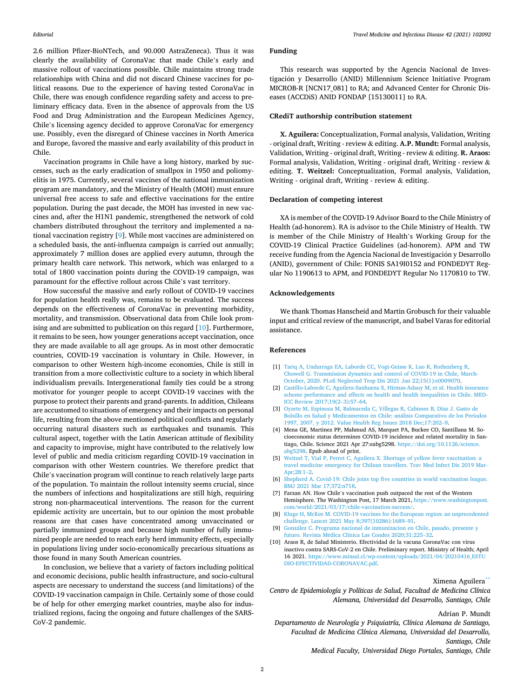<span id="page-1-0"></span>2.6 million Pfizer-BioNTech, and 90.000 AstraZeneca). Thus it was clearly the availability of CoronaVac that made Chile's early and massive rollout of vaccinations possible. Chile maintains strong trade relationships with China and did not discard Chinese vaccines for political reasons. Due to the experience of having tested CoronaVac in Chile, there was enough confidence regarding safety and access to preliminary efficacy data. Even in the absence of approvals from the US Food and Drug Administration and the European Medicines Agency, Chile's licensing agency decided to approve CoronaVac for emergency use. Possibly, even the disregard of Chinese vaccines in North America and Europe, favored the massive and early availability of this product in Chile.

Vaccination programs in Chile have a long history, marked by successes, such as the early eradication of smallpox in 1950 and poliomyelitis in 1975. Currently, several vaccines of the national immunization program are mandatory, and the Ministry of Health (MOH) must ensure universal free access to safe and effective vaccinations for the entire population. During the past decade, the MOH has invested in new vaccines and, after the H1N1 pandemic, strengthened the network of cold chambers distributed throughout the territory and implemented a national vaccination registry [9]. While most vaccines are administered on a scheduled basis, the anti-influenza campaign is carried out annually; approximately 7 million doses are applied every autumn, through the primary health care network. This network, which was enlarged to a total of 1800 vaccination points during the COVID-19 campaign, was paramount for the effective rollout across Chile's vast territory.

How successful the massive and early rollout of COVID-19 vaccines for population health really was, remains to be evaluated. The success depends on the effectiveness of CoronaVac in preventing morbidity, mortality, and transmission. Observational data from Chile look promising and are submitted to publication on this regard [10]. Furthermore, it remains to be seen, how younger generations accept vaccination, once they are made available to all age groups. As in most other democratic countries, COVID-19 vaccination is voluntary in Chile. However, in comparison to other Western high-income economies, Chile is still in transition from a more collectivistic culture to a society in which liberal individualism prevails. Intergenerational family ties could be a strong motivator for younger people to accept COVID-19 vaccines with the purpose to protect their parents and grand-parents. In addition, Chileans are accustomed to situations of emergency and their impacts on personal life, resulting from the above mentioned political conflicts and regularly occurring natural disasters such as earthquakes and tsunamis. This cultural aspect, together with the Latin American attitude of flexibility and capacity to improvise, might have contributed to the relatively low level of public and media criticism regarding COVID-19 vaccination in comparison with other Western countries. We therefore predict that Chile's vaccination program will continue to reach relatively large parts of the population. To maintain the rollout intensity seems crucial, since the numbers of infections and hospitalizations are still high, requiring strong non-pharmaceutical interventions. The reason for the current epidemic activity are uncertain, but to our opinion the most probable reasons are that cases have concentrated among unvaccinated or partially immunized groups and because high number of fully immunized people are needed to reach early herd immunity effects, especially in populations living under socio-economically precarious situations as those found in many South American countries.

In conclusion, we believe that a variety of factors including political and economic decisions, public health infrastructure, and socio-cultural aspects are necessary to understand the success (and limitations) of the COVID-19 vaccination campaign in Chile. Certainly some of those could be of help for other emerging market countries, maybe also for industrialized regions, facing the ongoing and future challenges of the SARS-CoV-2 pandemic.

#### **Funding**

This research was supported by the Agencia Nacional de Investigación y Desarrollo (ANID) Millennium Science Initiative Program MICROB-R [NCN17\_081] to RA; and Advanced Center for Chronic Diseases (ACCDiS) ANID FONDAP [15130011] to RA.

#### **CRediT authorship contribution statement**

**X. Aguilera:** Conceptualization, Formal analysis, Validation, Writing - original draft, Writing - review & editing. **A.P. Mundt:** Formal analysis, Validation, Writing - original draft, Writing - review & editing. **R. Araos:**  Formal analysis, Validation, Writing - original draft, Writing - review & editing. **T. Weitzel:** Conceptualization, Formal analysis, Validation, Writing - original draft, Writing - review & editing.

#### **Declaration of competing interest**

XA is member of the COVID-19 Advisor Board to the Chile Ministry of Health (ad-honorem). RA is advisor to the Chile Ministry of Health. TW is member of the Chile Ministry of Health's Working Group for the COVID-19 Clinical Practice Guidelines (ad-honorem). APM and TW receive funding from the Agencia Nacional de Investigación y Desarrollo (ANID), government of Chile: FONIS SA19I0152 and FONDEDYT Regular No 1190613 to APM, and FONDEDYT Regular No 1170810 to TW.

#### **Acknowledgements**

We thank Thomas Hanscheid and Martin Grobusch for their valuable input and critical review of the manuscript, and Isabel Varas for editorial assistance.

#### **References**

- [1] [Tariq A, Undurraga EA, Laborde CC, Vogt-Geisse K, Luo R, Rothenberg R,](http://refhub.elsevier.com/S1477-8939(21)00133-2/sref1)  [Chowell G. Transmission dynamics and control of COVID-19 in Chile, March-](http://refhub.elsevier.com/S1477-8939(21)00133-2/sref1)[October, 2020. PLoS Neglected Trop Dis 2021 Jan 22;15\(1\):e0009070](http://refhub.elsevier.com/S1477-8939(21)00133-2/sref1).
- [2] [Castillo-Laborde C, Aguilera-Sanhueza X, Hirmas-Adauy M, et al. Health insurance](http://refhub.elsevier.com/S1477-8939(21)00133-2/sref2)  [scheme performance and effects on health and health inequalities in Chile. MED-](http://refhub.elsevier.com/S1477-8939(21)00133-2/sref2)[ICC Review 2017;19\(2](http://refhub.elsevier.com/S1477-8939(21)00133-2/sref2)–3):57–64.
- [3] [Oyarte M, Espinoza M, Balmaceda C, Villegas R, Cabieses B, Díaz J. Gasto de](http://refhub.elsevier.com/S1477-8939(21)00133-2/sref3)  Bolsillo en Salud y Medicamentos en Chile: análisis Comparativo de los Periodos [1997, 2007, y 2012. Value Health Reg Issues 2018 Dec;17:202](http://refhub.elsevier.com/S1477-8939(21)00133-2/sref3)–9.
- [4] Mena GE, Martinez PP, Mahmud AS, Marquet PA, Buckee CO, Santillana M. Socioeconomic status determines COVID-19 incidence and related mortality in Santiago, Chile. Science 2021 Apr 27:eabg5298. [https://doi.org/10.1126/science.](https://doi.org/10.1126/science.abg5298) [abg5298](https://doi.org/10.1126/science.abg5298). Epub ahead of print.
- [5] [Weitzel T, Vial P, Perret C, Aguilera X. Shortage of yellow fever vaccination: a](http://refhub.elsevier.com/S1477-8939(21)00133-2/sref5)  [travel medicine emergency for Chilean travellers. Trav Med Infect Dis 2019 Mar-](http://refhub.elsevier.com/S1477-8939(21)00133-2/sref5)[Apr;28:1](http://refhub.elsevier.com/S1477-8939(21)00133-2/sref5)–2.
- [6] [Shepherd A. Covid-19: Chile joins top five countries in world vaccination league.](http://refhub.elsevier.com/S1477-8939(21)00133-2/sref6)  [BMJ 2021 Mar 17;372:n718](http://refhub.elsevier.com/S1477-8939(21)00133-2/sref6).
- [7] Farzan AN. How Chile's vaccination push outpaced the rest of the Western Hemisphere. The Washington Post, 17 March 2021, [https://www.washingtonpost.](https://www.washingtonpost.com/world/2021/03/17/chile-vaccination-success/)  [com/world/2021/03/17/chile-vaccination-success/](https://www.washingtonpost.com/world/2021/03/17/chile-vaccination-success/).
- [8] [Kluge H, McKee M. COVID-19 vaccines for the European region: an unprecedented](http://refhub.elsevier.com/S1477-8939(21)00133-2/sref8)  [challenge. Lancet 2021 May 8;397\(10286\):1689](http://refhub.elsevier.com/S1477-8939(21)00133-2/sref8)–91.
- [9] González C. Programa nacional de inmunizacion en Chile, pasado, presente y futuro. Revista Médica Clínica Las Condes 2020;31:225-32.
- [10] Araos R, de Salud Ministerio. Efectividad de la vacuna CoronaVac con virus inactivo contra SARS-CoV-2 en Chile. Preliminary report. Ministry of Health; April 16 2021. [https://www.minsal.cl/wp-content/uploads/2021/04/20210416\\_ESTU](https://www.minsal.cl/wp-content/uploads/2021/04/20210416_ESTUDIO-EFECTIVIDAD-CORONAVAC.pdf) [DIO-EFECTIVIDAD-CORONAVAC.pdf.](https://www.minsal.cl/wp-content/uploads/2021/04/20210416_ESTUDIO-EFECTIVIDAD-CORONAVAC.pdf)

#### Ximena Aguilera<sup>\*</sup>

*Centro de Epidemiología y Políticas de Salud, Facultad de Medicina Clínica Alemana, Universidad del Desarrollo, Santiago, Chile* 

Adrian P. Mundt

*Departamento de Neurología y Psiquiatría, Clínica Alemana de Santiago, Facultad de Medicina Clínica Alemana, Universidad del Desarrollo, Santiago, Chile Medical Faculty, Universidad Diego Portales, Santiago, Chile*